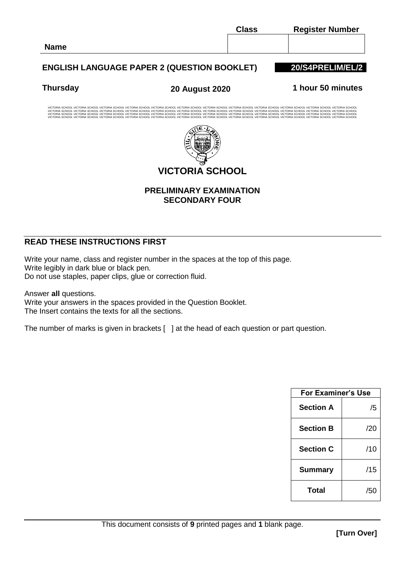

### **READ THESE INSTRUCTIONS FIRST**

Write your name, class and register number in the spaces at the top of this page. Write legibly in dark blue or black pen. Do not use staples, paper clips, glue or correction fluid.

Answer **all** questions. Write your answers in the spaces provided in the Question Booklet. The Insert contains the texts for all the sections.

The number of marks is given in brackets [ ] at the head of each question or part question.

| <b>For Examiner's Use</b> |     |  |
|---------------------------|-----|--|
| <b>Section A</b>          | /5  |  |
| <b>Section B</b>          | /20 |  |
| <b>Section C</b>          | /10 |  |
| <b>Summary</b>            | /15 |  |
| Total                     | /50 |  |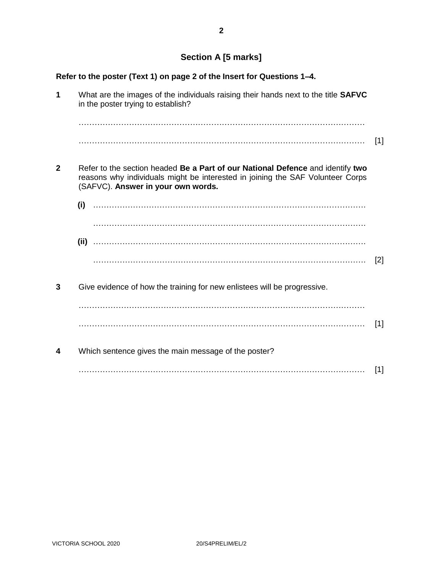# **Section A [5 marks]**

|              | Refer to the poster (Text 1) on page 2 of the Insert for Questions 1-4.                                                                                                                                |       |
|--------------|--------------------------------------------------------------------------------------------------------------------------------------------------------------------------------------------------------|-------|
| 1            | What are the images of the individuals raising their hands next to the title <b>SAFVC</b><br>in the poster trying to establish?                                                                        |       |
|              |                                                                                                                                                                                                        | $[1]$ |
|              |                                                                                                                                                                                                        |       |
| $\mathbf{2}$ | Refer to the section headed Be a Part of our National Defence and identify two<br>reasons why individuals might be interested in joining the SAF Volunteer Corps<br>(SAFVC). Answer in your own words. |       |
|              |                                                                                                                                                                                                        |       |
|              |                                                                                                                                                                                                        |       |
|              |                                                                                                                                                                                                        |       |
|              |                                                                                                                                                                                                        | [2]   |
| 3            | Give evidence of how the training for new enlistees will be progressive.                                                                                                                               |       |
|              |                                                                                                                                                                                                        |       |
|              |                                                                                                                                                                                                        | [1]   |
| 4            | Which sentence gives the main message of the poster?                                                                                                                                                   |       |
|              |                                                                                                                                                                                                        | [1]   |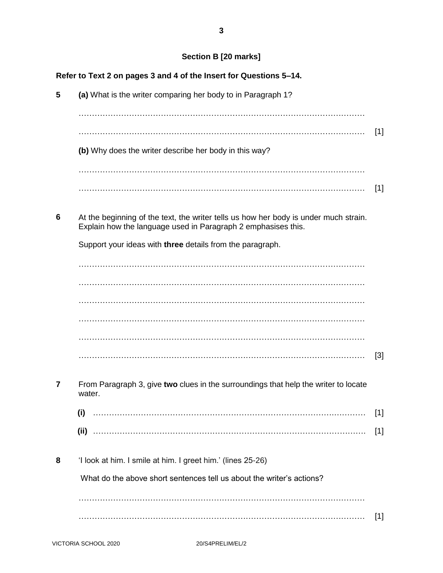## **Section B [20 marks]**

| Refer to Text 2 on pages 3 and 4 of the Insert for Questions 5-14. |                                                                                                                                                       |       |
|--------------------------------------------------------------------|-------------------------------------------------------------------------------------------------------------------------------------------------------|-------|
| 5                                                                  | (a) What is the writer comparing her body to in Paragraph 1?                                                                                          |       |
|                                                                    |                                                                                                                                                       |       |
|                                                                    |                                                                                                                                                       | $[1]$ |
|                                                                    | (b) Why does the writer describe her body in this way?                                                                                                |       |
|                                                                    |                                                                                                                                                       |       |
|                                                                    |                                                                                                                                                       | $[1]$ |
|                                                                    |                                                                                                                                                       |       |
| 6                                                                  | At the beginning of the text, the writer tells us how her body is under much strain.<br>Explain how the language used in Paragraph 2 emphasises this. |       |
|                                                                    | Support your ideas with three details from the paragraph.                                                                                             |       |
|                                                                    |                                                                                                                                                       |       |
|                                                                    |                                                                                                                                                       |       |
|                                                                    |                                                                                                                                                       |       |
|                                                                    |                                                                                                                                                       |       |
|                                                                    |                                                                                                                                                       |       |
|                                                                    |                                                                                                                                                       | $[3]$ |
| 7                                                                  | From Paragraph 3, give two clues in the surroundings that help the writer to locate                                                                   |       |
|                                                                    | water.                                                                                                                                                |       |
|                                                                    | (i)                                                                                                                                                   | $[1]$ |
|                                                                    |                                                                                                                                                       | $[1]$ |
| 8                                                                  | 'I look at him. I smile at him. I greet him.' (lines 25-26)                                                                                           |       |
|                                                                    | What do the above short sentences tell us about the writer's actions?                                                                                 |       |
|                                                                    |                                                                                                                                                       |       |
|                                                                    |                                                                                                                                                       |       |
|                                                                    |                                                                                                                                                       | $[1]$ |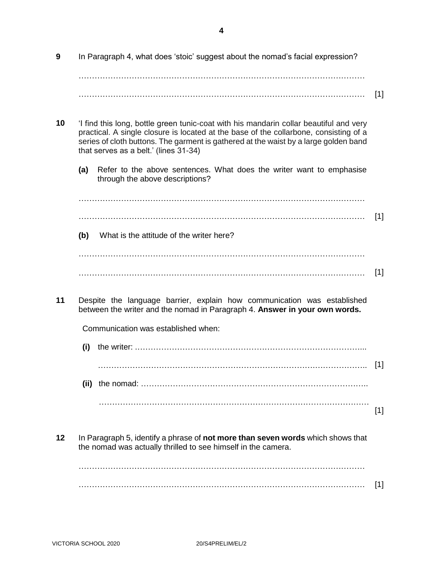| 9  | In Paragraph 4, what does 'stoic' suggest about the nomad's facial expression?                                                                                                                                                                                                                                   |       |  |
|----|------------------------------------------------------------------------------------------------------------------------------------------------------------------------------------------------------------------------------------------------------------------------------------------------------------------|-------|--|
|    |                                                                                                                                                                                                                                                                                                                  | $[1]$ |  |
| 10 | 'I find this long, bottle green tunic-coat with his mandarin collar beautiful and very<br>practical. A single closure is located at the base of the collarbone, consisting of a<br>series of cloth buttons. The garment is gathered at the waist by a large golden band<br>that serves as a belt.' (lines 31-34) |       |  |
|    | (a)<br>Refer to the above sentences. What does the writer want to emphasise<br>through the above descriptions?                                                                                                                                                                                                   |       |  |
|    |                                                                                                                                                                                                                                                                                                                  |       |  |
|    | What is the attitude of the writer here?<br>(b)                                                                                                                                                                                                                                                                  | $[1]$ |  |
|    |                                                                                                                                                                                                                                                                                                                  |       |  |
|    |                                                                                                                                                                                                                                                                                                                  | $[1]$ |  |
| 11 | Despite the language barrier, explain how communication was established<br>between the writer and the nomad in Paragraph 4. Answer in your own words.                                                                                                                                                            |       |  |
|    | Communication was established when:                                                                                                                                                                                                                                                                              |       |  |
|    | (i)                                                                                                                                                                                                                                                                                                              |       |  |
|    |                                                                                                                                                                                                                                                                                                                  | $[1]$ |  |
|    |                                                                                                                                                                                                                                                                                                                  |       |  |
|    |                                                                                                                                                                                                                                                                                                                  | $[1]$ |  |
| 12 | In Paragraph 5, identify a phrase of not more than seven words which shows that<br>the nomad was actually thrilled to see himself in the camera.                                                                                                                                                                 |       |  |
|    |                                                                                                                                                                                                                                                                                                                  |       |  |
|    |                                                                                                                                                                                                                                                                                                                  | [1]   |  |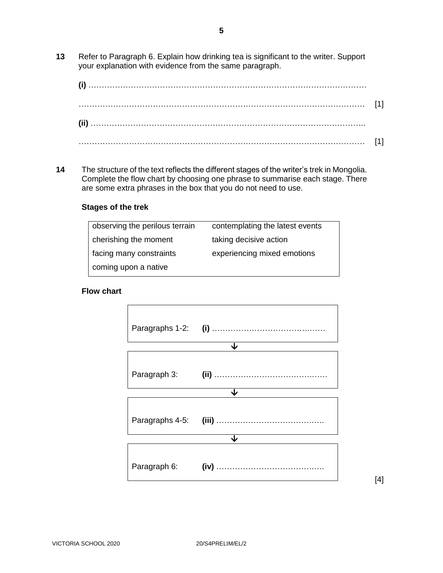**13** Refer to Paragraph 6. Explain how drinking tea is significant to the writer. Support your explanation with evidence from the same paragraph.

| $[1] \centering \label{eq:3}$ |  |
|-------------------------------|--|
|                               |  |
|                               |  |

**14** The structure of the text reflects the different stages of the writer's trek in Mongolia. Complete the flow chart by choosing one phrase to summarise each stage. There are some extra phrases in the box that you do not need to use.

#### **Stages of the trek**

| observing the perilous terrain | contemplating the latest events |
|--------------------------------|---------------------------------|
| cherishing the moment          | taking decisive action          |
| facing many constraints        | experiencing mixed emotions     |
| coming upon a native           |                                 |

#### **Flow chart**



[4]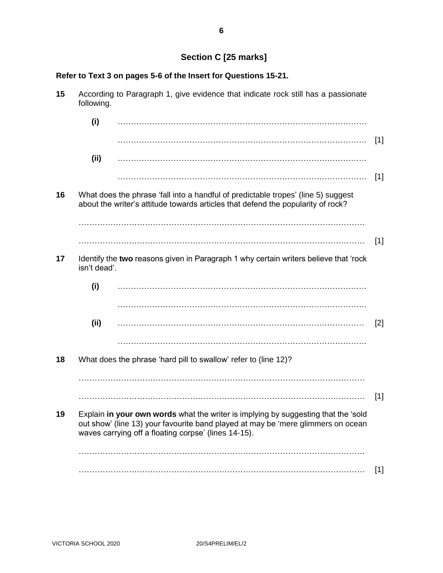# **Section C [25 marks]**

| Refer to Text 3 on pages 5-6 of the Insert for Questions 15-21. |              |                                                                                                                                                                                                                                |                |
|-----------------------------------------------------------------|--------------|--------------------------------------------------------------------------------------------------------------------------------------------------------------------------------------------------------------------------------|----------------|
| 15                                                              | following.   | According to Paragraph 1, give evidence that indicate rock still has a passionate                                                                                                                                              |                |
|                                                                 | (i)          |                                                                                                                                                                                                                                |                |
|                                                                 | (ii)         |                                                                                                                                                                                                                                | $[1]$<br>$[1]$ |
| 16                                                              |              | What does the phrase 'fall into a handful of predictable tropes' (line 5) suggest<br>about the writer's attitude towards articles that defend the popularity of rock?                                                          |                |
|                                                                 |              |                                                                                                                                                                                                                                | $[1]$          |
| 17                                                              | isn't dead'. | Identify the two reasons given in Paragraph 1 why certain writers believe that 'rock                                                                                                                                           |                |
|                                                                 | (i)          |                                                                                                                                                                                                                                |                |
|                                                                 | (ii)         |                                                                                                                                                                                                                                | $[2]$          |
| 18                                                              |              | What does the phrase 'hard pill to swallow' refer to (line 12)?                                                                                                                                                                |                |
|                                                                 |              |                                                                                                                                                                                                                                | $[1]$          |
| 19                                                              |              | Explain in your own words what the writer is implying by suggesting that the 'sold<br>out show' (line 13) your favourite band played at may be 'mere glimmers on ocean<br>waves carrying off a floating corpse' (lines 14-15). |                |
|                                                                 |              |                                                                                                                                                                                                                                | $[1]$          |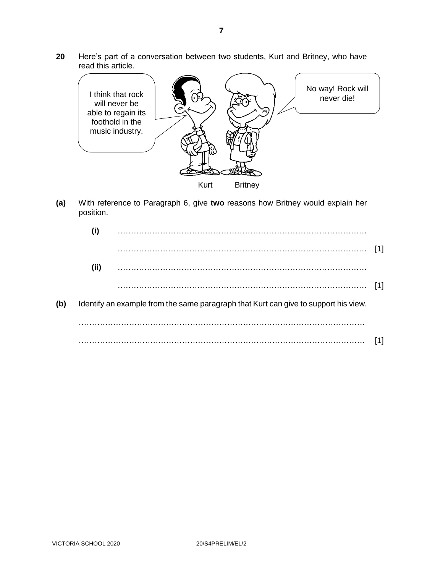**20** Here's part of a conversation between two students, Kurt and Britney, who have read this article.



**(a)** With reference to Paragraph 6, give **two** reasons how Britney would explain her position.

|     | (ii) |                                                                                     |  |
|-----|------|-------------------------------------------------------------------------------------|--|
|     |      |                                                                                     |  |
| (b) |      | Identify an example from the same paragraph that Kurt can give to support his view. |  |
|     |      |                                                                                     |  |
|     |      |                                                                                     |  |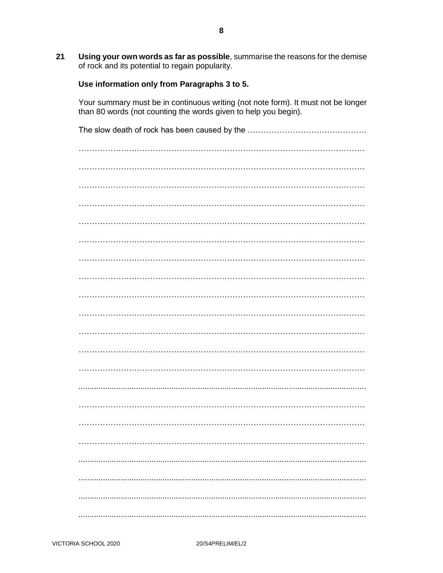Using your own words as far as possible, summarise the reasons for the demise<br>of rock and its potential to regain popularity.  $21$ 

#### Use information only from Paragraphs 3 to 5.

Your summary must be in continuous writing (not note form). It must not be longer than 80 words (not counting the words given to help you begin).

| The slow death of rock has been caused by the |
|-----------------------------------------------|
|                                               |
|                                               |
|                                               |
|                                               |
|                                               |
|                                               |
|                                               |
|                                               |
|                                               |
|                                               |
|                                               |
|                                               |
|                                               |
|                                               |
|                                               |
|                                               |
|                                               |
|                                               |
|                                               |
|                                               |
|                                               |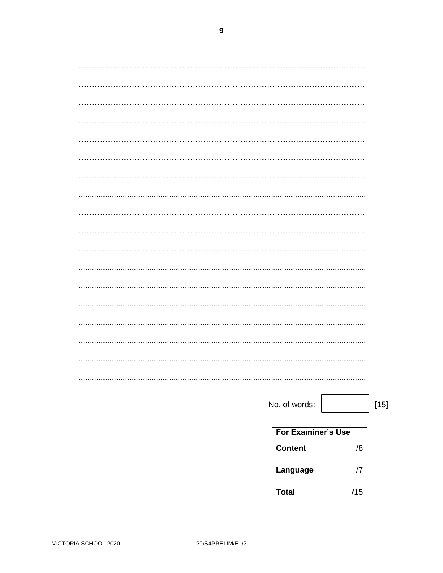$\overline{9}$ 

| No. of words:      |
|--------------------|
| For Examiner's Use |

| <b>For Examiner's Use</b> |                |
|---------------------------|----------------|
| <b>Content</b>            | /8             |
| Language                  | $\prime\prime$ |
| Total                     | /15            |

 $[15]$